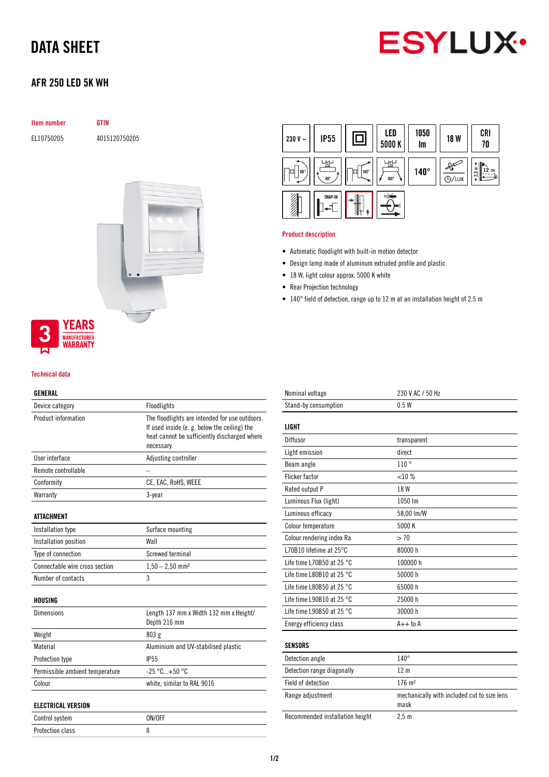# DATA SHEET



# AFR 250 LED 5K WH

| <b>Item number</b> | <b>GTIN</b>   |
|--------------------|---------------|
| EL10750205         | 4015120750205 |
|                    |               |
|                    |               |
|                    |               |
|                    |               |
|                    |               |
|                    |               |



## Technical data

### GENERAL

| Device category                 | Floodlights                                                                                                                                                  |
|---------------------------------|--------------------------------------------------------------------------------------------------------------------------------------------------------------|
| Product information             | The floodlights are intended for use outdoors.<br>If used inside (e. g. below the ceiling) the<br>heat cannot be sufficiently discharged where<br>necessary. |
| User interface                  | Adjusting controller                                                                                                                                         |
| Remote controllable             |                                                                                                                                                              |
| Conformity                      | CE, EAC, RoHS, WEEE                                                                                                                                          |
| Warranty                        | 3-year                                                                                                                                                       |
| <b>ATTACHMENT</b>               |                                                                                                                                                              |
| Installation type               | Surface mounting                                                                                                                                             |
| Installation position           | Wall                                                                                                                                                         |
| Type of connection              | Screwed terminal                                                                                                                                             |
| Connectable wire cross section  | $1,50 - 2,50$ mm <sup>2</sup>                                                                                                                                |
| Number of contacts              | 3                                                                                                                                                            |
| HOUSING                         |                                                                                                                                                              |
| <b>Dimensions</b>               | Length 137 mm x Width 132 mm x Height/<br>Depth 216 mm                                                                                                       |
| Weight                          | 803 g                                                                                                                                                        |
| Material                        | Aluminium and UV-stabilised plastic                                                                                                                          |
| Protection type                 | <b>IP55</b>                                                                                                                                                  |
| Permissible ambient temperature | $-25 °C + 50 °C$                                                                                                                                             |
| Colour                          | white, similar to RAL 9016                                                                                                                                   |
| <b>ELECTRICAL VERSION</b>       |                                                                                                                                                              |
| Control system                  | ON/OFF                                                                                                                                                       |
| Protection class                | $\mathbf{I}$                                                                                                                                                 |



### Product description

- Automatic floodlight with built-in motion detector
- Design lamp made of aluminum extruded profile and plastic
- 18 W, light colour approx. 5000 K white
- Rear Projection technology
- 140° field of detection, range up to 12 m at an installation height of 2.5 m

| Nominal voltage                     | 230 V AC / 50 Hz                                    |
|-------------------------------------|-----------------------------------------------------|
| Stand-by consumption                | 0.5W                                                |
|                                     |                                                     |
| LIGHT                               |                                                     |
| Diffusor                            | transparent                                         |
| Light emission                      | direct                                              |
| Beam angle                          | 110°                                                |
| <b>Flicker factor</b>               | <10%                                                |
| Rated output P                      | 18 W                                                |
| Luminous Flux (light)               | 1050 lm                                             |
| Luminous efficacy                   | 58,00 lm/W                                          |
| Colour temperature                  | 5000 K                                              |
| Colour rendering index Ra           | > 70                                                |
| L70B10 lifetime at 25°C             | 80000 h                                             |
| Life time L70B50 at 25 °C           | 100000 h                                            |
| Life time L80B10 at 25 $^{\circ}$ C | 50000 h                                             |
| Life time L80B50 at 25 $^{\circ}$ C | 65000 h                                             |
| Life time L90B10 at 25 $^{\circ}$ C | 25000 h                                             |
| Life time L90B50 at 25 °C           | 30000 h                                             |
| Energy efficiency class             | $A++$ to $A$                                        |
|                                     |                                                     |
| <b>SENSORS</b>                      |                                                     |
| Detection angle                     | $140^\circ$                                         |
| Detection range diagonally          | 12 <sub>m</sub>                                     |
| Field of detection                  | $176 \; \text{m}^2$                                 |
| Range adjustment                    | mechanically with included cut to size lens<br>mask |
| Recommended installation height     | 2.5 <sub>m</sub>                                    |